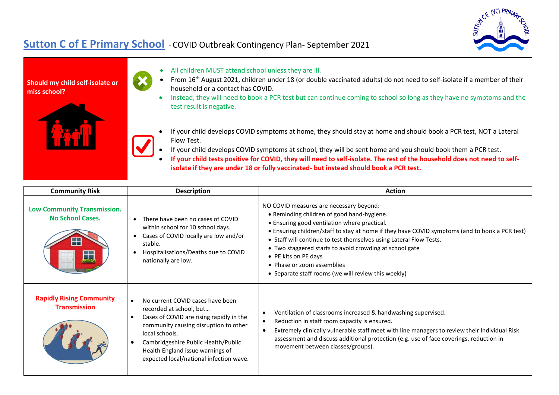

## **Sutton C of E Primary School** - COVID Outbreak Contingency Plan- September 2021



| <b>Community Risk</b>                                         | <b>Description</b>                                                                                                                                                                                                                                                                       | <b>Action</b>                                                                                                                                                                                                                                                                                                                                                                                                                                                                         |
|---------------------------------------------------------------|------------------------------------------------------------------------------------------------------------------------------------------------------------------------------------------------------------------------------------------------------------------------------------------|---------------------------------------------------------------------------------------------------------------------------------------------------------------------------------------------------------------------------------------------------------------------------------------------------------------------------------------------------------------------------------------------------------------------------------------------------------------------------------------|
| <b>Low Community Transmission.</b><br><b>No School Cases.</b> | There have been no cases of COVID<br>within school for 10 school days.<br>Cases of COVID locally are low and/or<br>stable.<br>Hospitalisations/Deaths due to COVID<br>nationally are low.                                                                                                | NO COVID measures are necessary beyond:<br>• Reminding children of good hand-hygiene.<br>• Ensuring good ventilation where practical.<br>• Ensuring children/staff to stay at home if they have COVID symptoms (and to book a PCR test)<br>• Staff will continue to test themselves using Lateral Flow Tests.<br>• Two staggered starts to avoid crowding at school gate<br>• PE kits on PE days<br>• Phase or zoom assemblies<br>• Separate staff rooms (we will review this weekly) |
| <b>Rapidly Rising Community</b><br><b>Transmission</b>        | No current COVID cases have been<br>recorded at school, but<br>Cases of COVID are rising rapidly in the<br>community causing disruption to other<br>local schools.<br>Cambridgeshire Public Health/Public<br>Health England issue warnings of<br>expected local/national infection wave. | Ventilation of classrooms increased & handwashing supervised.<br>$\bullet$<br>Reduction in staff room capacity is ensured.<br>$\bullet$<br>Extremely clinically vulnerable staff meet with line managers to review their Individual Risk<br>$\bullet$<br>assessment and discuss additional protection (e.g. use of face coverings, reduction in<br>movement between classes/groups).                                                                                                  |